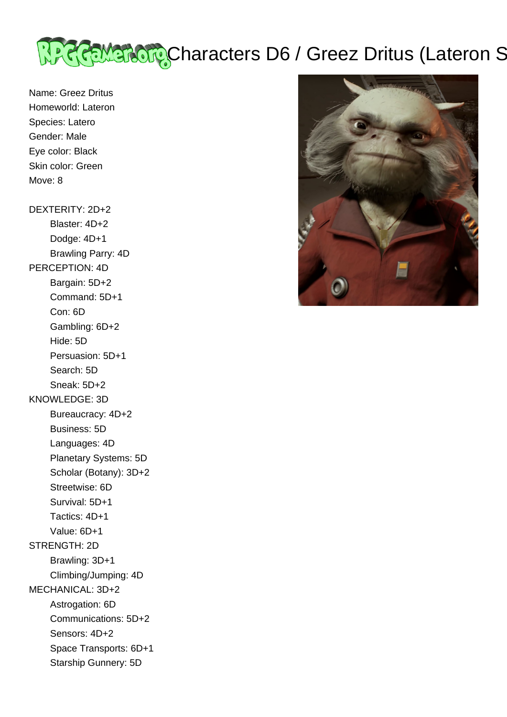

Name: Greez Dritus Homeworld: Lateron Species: Latero Gender: Male Eye color: Black Skin color: Green Move: 8

# DEXTERITY: 2D+2 Blaster: 4D+2 Dodge: 4D+1 Brawling Parry: 4D PERCEPTION: 4D Bargain: 5D+2 Command: 5D+1 Con: 6D Gambling: 6D+2 Hide: 5D Persuasion: 5D+1 Search: 5D Sneak: 5D+2 KNOWLEDGE: 3D Bureaucracy: 4D+2 Business: 5D Languages: 4D Planetary Systems: 5D Scholar (Botany): 3D+2 Streetwise: 6D Survival: 5D+1 Tactics: 4D+1 Value: 6D+1 STRENGTH: 2D Brawling: 3D+1 Climbing/Jumping: 4D MECHANICAL: 3D+2 Astrogation: 6D Communications: 5D+2

 Space Transports: 6D+1 Starship Gunnery: 5D

Sensors: 4D+2